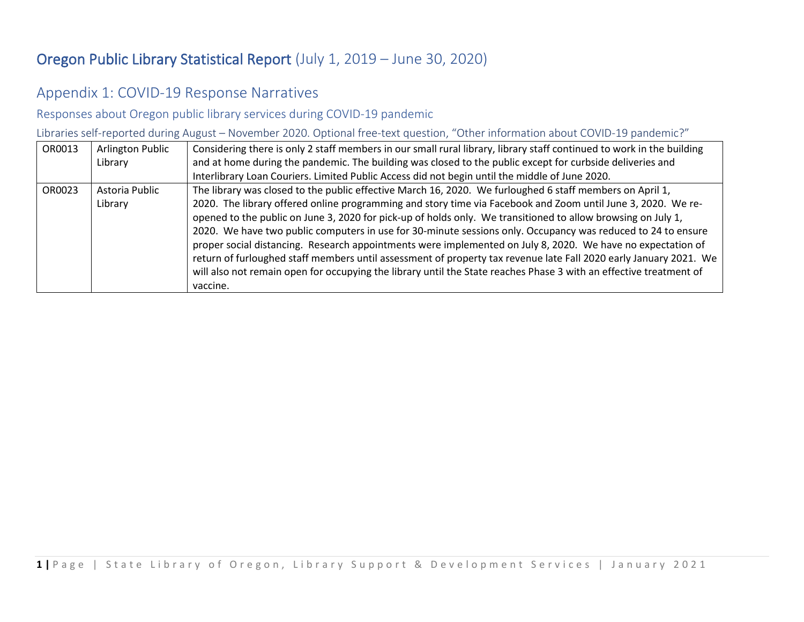## Oregon Public Library Statistical Report (July 1, 2019 – June 30, 2020)

## Appendix 1: COVID-19 Response Narratives

Responses about Oregon public library services during COVID-19 pandemic

Libraries self-reported during August – November 2020. Optional free-text question, "Other information about COVID-19 pandemic?"

| OR0013 | <b>Arlington Public</b> | Considering there is only 2 staff members in our small rural library, library staff continued to work in the building |
|--------|-------------------------|-----------------------------------------------------------------------------------------------------------------------|
|        | Library                 | and at home during the pandemic. The building was closed to the public except for curbside deliveries and             |
|        |                         | Interlibrary Loan Couriers. Limited Public Access did not begin until the middle of June 2020.                        |
| OR0023 | Astoria Public          | The library was closed to the public effective March 16, 2020. We furloughed 6 staff members on April 1,              |
|        | Library                 | 2020. The library offered online programming and story time via Facebook and Zoom until June 3, 2020. We re-          |
|        |                         | opened to the public on June 3, 2020 for pick-up of holds only. We transitioned to allow browsing on July 1,          |
|        |                         | 2020. We have two public computers in use for 30-minute sessions only. Occupancy was reduced to 24 to ensure          |
|        |                         | proper social distancing. Research appointments were implemented on July 8, 2020. We have no expectation of           |
|        |                         | return of furloughed staff members until assessment of property tax revenue late Fall 2020 early January 2021. We     |
|        |                         | will also not remain open for occupying the library until the State reaches Phase 3 with an effective treatment of    |
|        |                         | vaccine.                                                                                                              |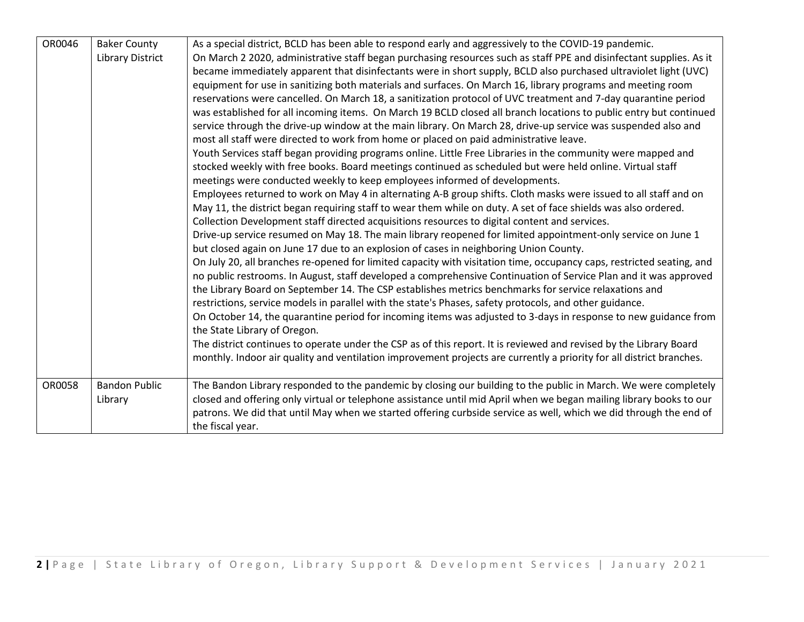| OR0046 | <b>Baker County</b><br><b>Library District</b> | As a special district, BCLD has been able to respond early and aggressively to the COVID-19 pandemic.<br>On March 2 2020, administrative staff began purchasing resources such as staff PPE and disinfectant supplies. As it<br>became immediately apparent that disinfectants were in short supply, BCLD also purchased ultraviolet light (UVC)<br>equipment for use in sanitizing both materials and surfaces. On March 16, library programs and meeting room<br>reservations were cancelled. On March 18, a sanitization protocol of UVC treatment and 7-day quarantine period<br>was established for all incoming items. On March 19 BCLD closed all branch locations to public entry but continued<br>service through the drive-up window at the main library. On March 28, drive-up service was suspended also and<br>most all staff were directed to work from home or placed on paid administrative leave.<br>Youth Services staff began providing programs online. Little Free Libraries in the community were mapped and<br>stocked weekly with free books. Board meetings continued as scheduled but were held online. Virtual staff<br>meetings were conducted weekly to keep employees informed of developments.<br>Employees returned to work on May 4 in alternating A-B group shifts. Cloth masks were issued to all staff and on<br>May 11, the district began requiring staff to wear them while on duty. A set of face shields was also ordered.<br>Collection Development staff directed acquisitions resources to digital content and services.<br>Drive-up service resumed on May 18. The main library reopened for limited appointment-only service on June 1<br>but closed again on June 17 due to an explosion of cases in neighboring Union County.<br>On July 20, all branches re-opened for limited capacity with visitation time, occupancy caps, restricted seating, and<br>no public restrooms. In August, staff developed a comprehensive Continuation of Service Plan and it was approved<br>the Library Board on September 14. The CSP establishes metrics benchmarks for service relaxations and<br>restrictions, service models in parallel with the state's Phases, safety protocols, and other guidance.<br>On October 14, the quarantine period for incoming items was adjusted to 3-days in response to new guidance from<br>the State Library of Oregon.<br>The district continues to operate under the CSP as of this report. It is reviewed and revised by the Library Board<br>monthly. Indoor air quality and ventilation improvement projects are currently a priority for all district branches. |
|--------|------------------------------------------------|-------------------------------------------------------------------------------------------------------------------------------------------------------------------------------------------------------------------------------------------------------------------------------------------------------------------------------------------------------------------------------------------------------------------------------------------------------------------------------------------------------------------------------------------------------------------------------------------------------------------------------------------------------------------------------------------------------------------------------------------------------------------------------------------------------------------------------------------------------------------------------------------------------------------------------------------------------------------------------------------------------------------------------------------------------------------------------------------------------------------------------------------------------------------------------------------------------------------------------------------------------------------------------------------------------------------------------------------------------------------------------------------------------------------------------------------------------------------------------------------------------------------------------------------------------------------------------------------------------------------------------------------------------------------------------------------------------------------------------------------------------------------------------------------------------------------------------------------------------------------------------------------------------------------------------------------------------------------------------------------------------------------------------------------------------------------------------------------------------------------------------------------------------------------------------------------------------------------------------------------------------------------------------------------------------------------------------------------------------------------------------------------------------------------------------------------------------------------------------------------------------------------------------------------------------------------------------------------------------------------------------------------------|
| OR0058 | <b>Bandon Public</b><br>Library                | The Bandon Library responded to the pandemic by closing our building to the public in March. We were completely<br>closed and offering only virtual or telephone assistance until mid April when we began mailing library books to our<br>patrons. We did that until May when we started offering curbside service as well, which we did through the end of<br>the fiscal year.                                                                                                                                                                                                                                                                                                                                                                                                                                                                                                                                                                                                                                                                                                                                                                                                                                                                                                                                                                                                                                                                                                                                                                                                                                                                                                                                                                                                                                                                                                                                                                                                                                                                                                                                                                                                                                                                                                                                                                                                                                                                                                                                                                                                                                                                 |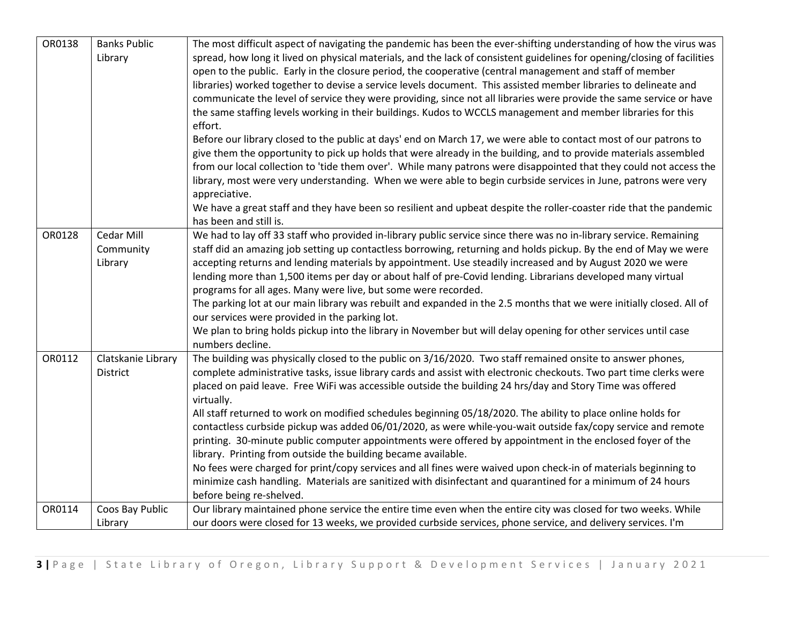| OR0138 | <b>Banks Public</b><br>Library     | The most difficult aspect of navigating the pandemic has been the ever-shifting understanding of how the virus was<br>spread, how long it lived on physical materials, and the lack of consistent guidelines for opening/closing of facilities<br>open to the public. Early in the closure period, the cooperative (central management and staff of member<br>libraries) worked together to devise a service levels document. This assisted member libraries to delineate and<br>communicate the level of service they were providing, since not all libraries were provide the same service or have<br>the same staffing levels working in their buildings. Kudos to WCCLS management and member libraries for this<br>effort.<br>Before our library closed to the public at days' end on March 17, we were able to contact most of our patrons to<br>give them the opportunity to pick up holds that were already in the building, and to provide materials assembled<br>from our local collection to 'tide them over'. While many patrons were disappointed that they could not access the<br>library, most were very understanding. When we were able to begin curbside services in June, patrons were very<br>appreciative.<br>We have a great staff and they have been so resilient and upbeat despite the roller-coaster ride that the pandemic<br>has been and still is. |
|--------|------------------------------------|----------------------------------------------------------------------------------------------------------------------------------------------------------------------------------------------------------------------------------------------------------------------------------------------------------------------------------------------------------------------------------------------------------------------------------------------------------------------------------------------------------------------------------------------------------------------------------------------------------------------------------------------------------------------------------------------------------------------------------------------------------------------------------------------------------------------------------------------------------------------------------------------------------------------------------------------------------------------------------------------------------------------------------------------------------------------------------------------------------------------------------------------------------------------------------------------------------------------------------------------------------------------------------------------------------------------------------------------------------------------------------|
| OR0128 | Cedar Mill<br>Community<br>Library | We had to lay off 33 staff who provided in-library public service since there was no in-library service. Remaining<br>staff did an amazing job setting up contactless borrowing, returning and holds pickup. By the end of May we were<br>accepting returns and lending materials by appointment. Use steadily increased and by August 2020 we were<br>lending more than 1,500 items per day or about half of pre-Covid lending. Librarians developed many virtual<br>programs for all ages. Many were live, but some were recorded.<br>The parking lot at our main library was rebuilt and expanded in the 2.5 months that we were initially closed. All of<br>our services were provided in the parking lot.<br>We plan to bring holds pickup into the library in November but will delay opening for other services until case<br>numbers decline.                                                                                                                                                                                                                                                                                                                                                                                                                                                                                                                            |
| OR0112 | Clatskanie Library<br>District     | The building was physically closed to the public on 3/16/2020. Two staff remained onsite to answer phones,<br>complete administrative tasks, issue library cards and assist with electronic checkouts. Two part time clerks were<br>placed on paid leave. Free WiFi was accessible outside the building 24 hrs/day and Story Time was offered<br>virtually.<br>All staff returned to work on modified schedules beginning 05/18/2020. The ability to place online holds for<br>contactless curbside pickup was added 06/01/2020, as were while-you-wait outside fax/copy service and remote<br>printing. 30-minute public computer appointments were offered by appointment in the enclosed foyer of the<br>library. Printing from outside the building became available.<br>No fees were charged for print/copy services and all fines were waived upon check-in of materials beginning to<br>minimize cash handling. Materials are sanitized with disinfectant and quarantined for a minimum of 24 hours<br>before being re-shelved.                                                                                                                                                                                                                                                                                                                                           |
| OR0114 | Coos Bay Public<br>Library         | Our library maintained phone service the entire time even when the entire city was closed for two weeks. While<br>our doors were closed for 13 weeks, we provided curbside services, phone service, and delivery services. I'm                                                                                                                                                                                                                                                                                                                                                                                                                                                                                                                                                                                                                                                                                                                                                                                                                                                                                                                                                                                                                                                                                                                                                   |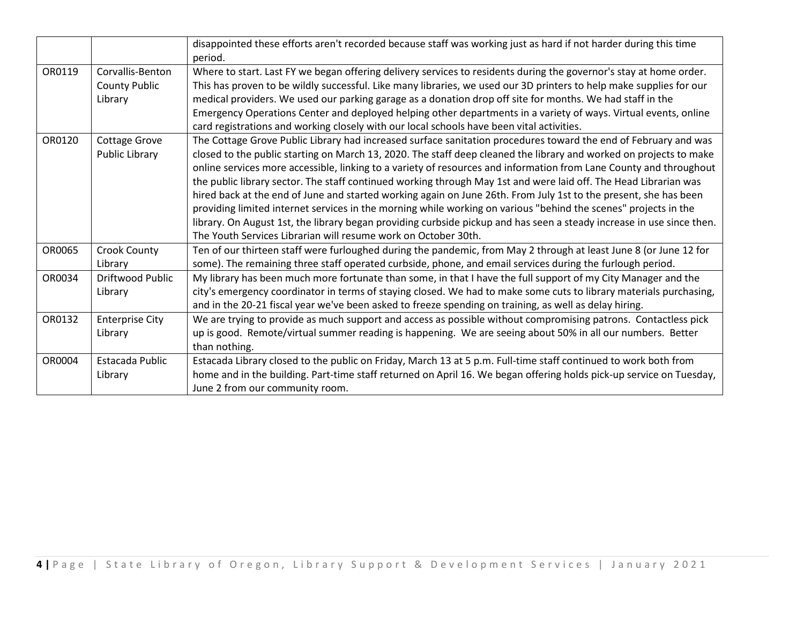|        |                                                     | disappointed these efforts aren't recorded because staff was working just as hard if not harder during this time<br>period.                                                                                                                                                                                                                                                                                                                                                                                                                                                                                                                                                                                                                                                                                                                                                                                       |
|--------|-----------------------------------------------------|-------------------------------------------------------------------------------------------------------------------------------------------------------------------------------------------------------------------------------------------------------------------------------------------------------------------------------------------------------------------------------------------------------------------------------------------------------------------------------------------------------------------------------------------------------------------------------------------------------------------------------------------------------------------------------------------------------------------------------------------------------------------------------------------------------------------------------------------------------------------------------------------------------------------|
| OR0119 | Corvallis-Benton<br><b>County Public</b><br>Library | Where to start. Last FY we began offering delivery services to residents during the governor's stay at home order.<br>This has proven to be wildly successful. Like many libraries, we used our 3D printers to help make supplies for our<br>medical providers. We used our parking garage as a donation drop off site for months. We had staff in the<br>Emergency Operations Center and deployed helping other departments in a variety of ways. Virtual events, online<br>card registrations and working closely with our local schools have been vital activities.                                                                                                                                                                                                                                                                                                                                            |
| OR0120 | Cottage Grove<br>Public Library                     | The Cottage Grove Public Library had increased surface sanitation procedures toward the end of February and was<br>closed to the public starting on March 13, 2020. The staff deep cleaned the library and worked on projects to make<br>online services more accessible, linking to a variety of resources and information from Lane County and throughout<br>the public library sector. The staff continued working through May 1st and were laid off. The Head Librarian was<br>hired back at the end of June and started working again on June 26th. From July 1st to the present, she has been<br>providing limited internet services in the morning while working on various "behind the scenes" projects in the<br>library. On August 1st, the library began providing curbside pickup and has seen a steady increase in use since then.<br>The Youth Services Librarian will resume work on October 30th. |
| OR0065 | Crook County<br>Library                             | Ten of our thirteen staff were furloughed during the pandemic, from May 2 through at least June 8 (or June 12 for<br>some). The remaining three staff operated curbside, phone, and email services during the furlough period.                                                                                                                                                                                                                                                                                                                                                                                                                                                                                                                                                                                                                                                                                    |
| OR0034 | Driftwood Public<br>Library                         | My library has been much more fortunate than some, in that I have the full support of my City Manager and the<br>city's emergency coordinator in terms of staying closed. We had to make some cuts to library materials purchasing,<br>and in the 20-21 fiscal year we've been asked to freeze spending on training, as well as delay hiring.                                                                                                                                                                                                                                                                                                                                                                                                                                                                                                                                                                     |
| OR0132 | <b>Enterprise City</b><br>Library                   | We are trying to provide as much support and access as possible without compromising patrons. Contactless pick<br>up is good. Remote/virtual summer reading is happening. We are seeing about 50% in all our numbers. Better<br>than nothing.                                                                                                                                                                                                                                                                                                                                                                                                                                                                                                                                                                                                                                                                     |
| OR0004 | Estacada Public<br>Library                          | Estacada Library closed to the public on Friday, March 13 at 5 p.m. Full-time staff continued to work both from<br>home and in the building. Part-time staff returned on April 16. We began offering holds pick-up service on Tuesday,<br>June 2 from our community room.                                                                                                                                                                                                                                                                                                                                                                                                                                                                                                                                                                                                                                         |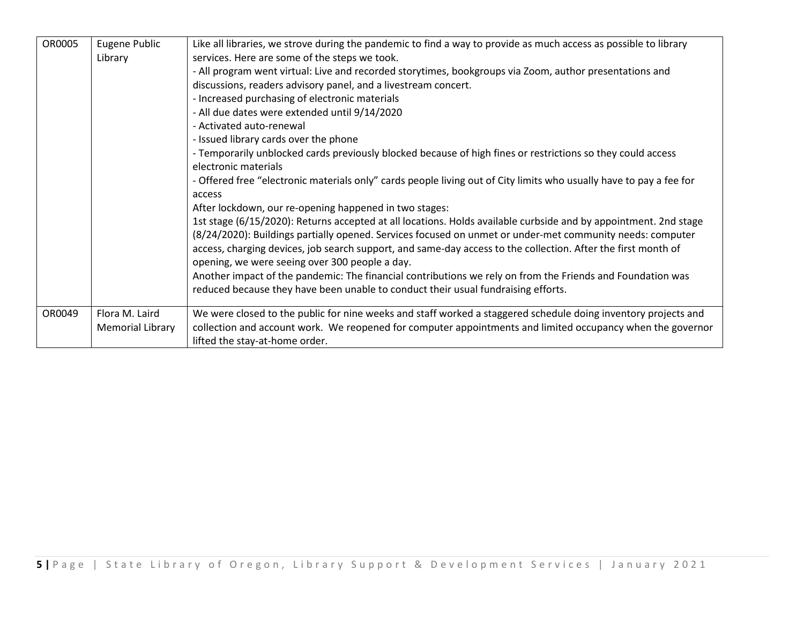| OR0005 | Eugene Public           | Like all libraries, we strove during the pandemic to find a way to provide as much access as possible to library    |
|--------|-------------------------|---------------------------------------------------------------------------------------------------------------------|
|        | Library                 | services. Here are some of the steps we took.                                                                       |
|        |                         | - All program went virtual: Live and recorded storytimes, bookgroups via Zoom, author presentations and             |
|        |                         | discussions, readers advisory panel, and a livestream concert.                                                      |
|        |                         | - Increased purchasing of electronic materials                                                                      |
|        |                         | - All due dates were extended until 9/14/2020                                                                       |
|        |                         | - Activated auto-renewal                                                                                            |
|        |                         | - Issued library cards over the phone                                                                               |
|        |                         | - Temporarily unblocked cards previously blocked because of high fines or restrictions so they could access         |
|        |                         | electronic materials                                                                                                |
|        |                         | - Offered free "electronic materials only" cards people living out of City limits who usually have to pay a fee for |
|        |                         | access                                                                                                              |
|        |                         | After lockdown, our re-opening happened in two stages:                                                              |
|        |                         | 1st stage (6/15/2020): Returns accepted at all locations. Holds available curbside and by appointment. 2nd stage    |
|        |                         | (8/24/2020): Buildings partially opened. Services focused on unmet or under-met community needs: computer           |
|        |                         | access, charging devices, job search support, and same-day access to the collection. After the first month of       |
|        |                         | opening, we were seeing over 300 people a day.                                                                      |
|        |                         | Another impact of the pandemic: The financial contributions we rely on from the Friends and Foundation was          |
|        |                         | reduced because they have been unable to conduct their usual fundraising efforts.                                   |
|        |                         |                                                                                                                     |
| OR0049 | Flora M. Laird          | We were closed to the public for nine weeks and staff worked a staggered schedule doing inventory projects and      |
|        | <b>Memorial Library</b> | collection and account work. We reopened for computer appointments and limited occupancy when the governor          |
|        |                         | lifted the stay-at-home order.                                                                                      |
|        |                         |                                                                                                                     |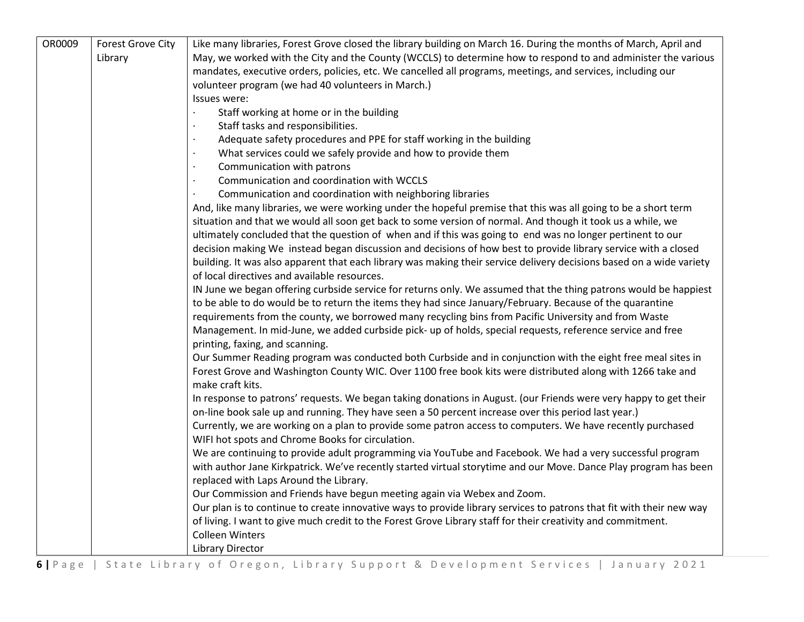| OR0009 | <b>Forest Grove City</b> | Like many libraries, Forest Grove closed the library building on March 16. During the months of March, April and     |
|--------|--------------------------|----------------------------------------------------------------------------------------------------------------------|
|        | Library                  | May, we worked with the City and the County (WCCLS) to determine how to respond to and administer the various        |
|        |                          | mandates, executive orders, policies, etc. We cancelled all programs, meetings, and services, including our          |
|        |                          | volunteer program (we had 40 volunteers in March.)                                                                   |
|        |                          | Issues were:                                                                                                         |
|        |                          | Staff working at home or in the building                                                                             |
|        |                          | Staff tasks and responsibilities.                                                                                    |
|        |                          | Adequate safety procedures and PPE for staff working in the building                                                 |
|        |                          | What services could we safely provide and how to provide them                                                        |
|        |                          | Communication with patrons                                                                                           |
|        |                          | Communication and coordination with WCCLS                                                                            |
|        |                          | Communication and coordination with neighboring libraries                                                            |
|        |                          | And, like many libraries, we were working under the hopeful premise that this was all going to be a short term       |
|        |                          | situation and that we would all soon get back to some version of normal. And though it took us a while, we           |
|        |                          | ultimately concluded that the question of when and if this was going to end was no longer pertinent to our           |
|        |                          | decision making We instead began discussion and decisions of how best to provide library service with a closed       |
|        |                          | building. It was also apparent that each library was making their service delivery decisions based on a wide variety |
|        |                          | of local directives and available resources.                                                                         |
|        |                          | IN June we began offering curbside service for returns only. We assumed that the thing patrons would be happiest     |
|        |                          | to be able to do would be to return the items they had since January/February. Because of the quarantine             |
|        |                          | requirements from the county, we borrowed many recycling bins from Pacific University and from Waste                 |
|        |                          | Management. In mid-June, we added curbside pick- up of holds, special requests, reference service and free           |
|        |                          | printing, faxing, and scanning.                                                                                      |
|        |                          | Our Summer Reading program was conducted both Curbside and in conjunction with the eight free meal sites in          |
|        |                          | Forest Grove and Washington County WIC. Over 1100 free book kits were distributed along with 1266 take and           |
|        |                          | make craft kits.                                                                                                     |
|        |                          | In response to patrons' requests. We began taking donations in August. (our Friends were very happy to get their     |
|        |                          | on-line book sale up and running. They have seen a 50 percent increase over this period last year.)                  |
|        |                          | Currently, we are working on a plan to provide some patron access to computers. We have recently purchased           |
|        |                          | WIFI hot spots and Chrome Books for circulation.                                                                     |
|        |                          | We are continuing to provide adult programming via YouTube and Facebook. We had a very successful program            |
|        |                          | with author Jane Kirkpatrick. We've recently started virtual storytime and our Move. Dance Play program has been     |
|        |                          | replaced with Laps Around the Library.                                                                               |
|        |                          | Our Commission and Friends have begun meeting again via Webex and Zoom.                                              |
|        |                          | Our plan is to continue to create innovative ways to provide library services to patrons that fit with their new way |
|        |                          | of living. I want to give much credit to the Forest Grove Library staff for their creativity and commitment.         |
|        |                          | <b>Colleen Winters</b>                                                                                               |
|        |                          | <b>Library Director</b>                                                                                              |

**6 |** Page | State Library of Oregon, Library Support & Development Services | January 2021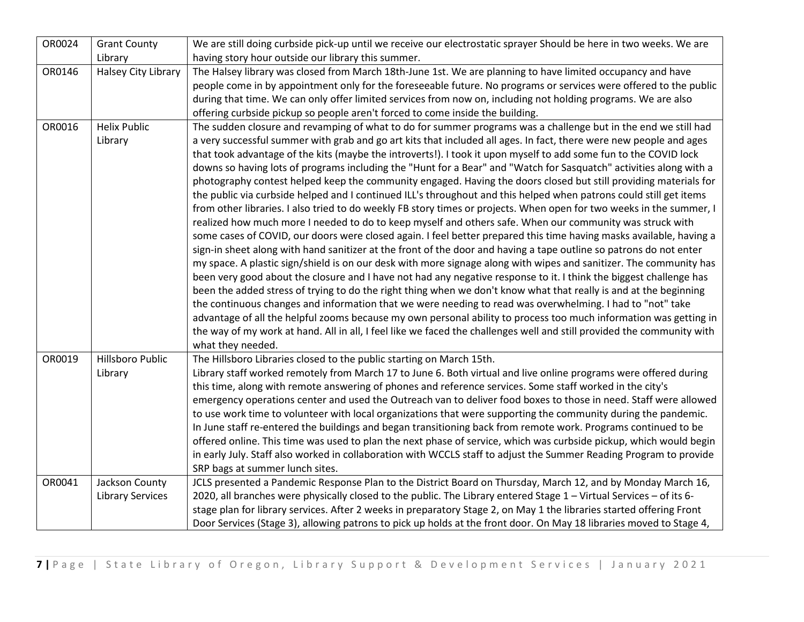| OR0024 | <b>Grant County</b>        | We are still doing curbside pick-up until we receive our electrostatic sprayer Should be here in two weeks. We are     |
|--------|----------------------------|------------------------------------------------------------------------------------------------------------------------|
|        | Library                    | having story hour outside our library this summer.                                                                     |
| OR0146 | <b>Halsey City Library</b> | The Halsey library was closed from March 18th-June 1st. We are planning to have limited occupancy and have             |
|        |                            | people come in by appointment only for the foreseeable future. No programs or services were offered to the public      |
|        |                            | during that time. We can only offer limited services from now on, including not holding programs. We are also          |
|        |                            | offering curbside pickup so people aren't forced to come inside the building.                                          |
| OR0016 | <b>Helix Public</b>        | The sudden closure and revamping of what to do for summer programs was a challenge but in the end we still had         |
|        | Library                    | a very successful summer with grab and go art kits that included all ages. In fact, there were new people and ages     |
|        |                            | that took advantage of the kits (maybe the introverts!). I took it upon myself to add some fun to the COVID lock       |
|        |                            | downs so having lots of programs including the "Hunt for a Bear" and "Watch for Sasquatch" activities along with a     |
|        |                            | photography contest helped keep the community engaged. Having the doors closed but still providing materials for       |
|        |                            | the public via curbside helped and I continued ILL's throughout and this helped when patrons could still get items     |
|        |                            | from other libraries. I also tried to do weekly FB story times or projects. When open for two weeks in the summer, I   |
|        |                            | realized how much more I needed to do to keep myself and others safe. When our community was struck with               |
|        |                            | some cases of COVID, our doors were closed again. I feel better prepared this time having masks available, having a    |
|        |                            | sign-in sheet along with hand sanitizer at the front of the door and having a tape outline so patrons do not enter     |
|        |                            | my space. A plastic sign/shield is on our desk with more signage along with wipes and sanitizer. The community has     |
|        |                            | been very good about the closure and I have not had any negative response to it. I think the biggest challenge has     |
|        |                            | been the added stress of trying to do the right thing when we don't know what that really is and at the beginning      |
|        |                            | the continuous changes and information that we were needing to read was overwhelming. I had to "not" take              |
|        |                            | advantage of all the helpful zooms because my own personal ability to process too much information was getting in      |
|        |                            | the way of my work at hand. All in all, I feel like we faced the challenges well and still provided the community with |
|        |                            | what they needed.                                                                                                      |
| OR0019 | Hillsboro Public           | The Hillsboro Libraries closed to the public starting on March 15th.                                                   |
|        | Library                    | Library staff worked remotely from March 17 to June 6. Both virtual and live online programs were offered during       |
|        |                            | this time, along with remote answering of phones and reference services. Some staff worked in the city's               |
|        |                            | emergency operations center and used the Outreach van to deliver food boxes to those in need. Staff were allowed       |
|        |                            | to use work time to volunteer with local organizations that were supporting the community during the pandemic.         |
|        |                            | In June staff re-entered the buildings and began transitioning back from remote work. Programs continued to be         |
|        |                            | offered online. This time was used to plan the next phase of service, which was curbside pickup, which would begin     |
|        |                            | in early July. Staff also worked in collaboration with WCCLS staff to adjust the Summer Reading Program to provide     |
|        |                            | SRP bags at summer lunch sites.                                                                                        |
| OR0041 | Jackson County             | JCLS presented a Pandemic Response Plan to the District Board on Thursday, March 12, and by Monday March 16,           |
|        | <b>Library Services</b>    | 2020, all branches were physically closed to the public. The Library entered Stage 1 - Virtual Services - of its 6-    |
|        |                            | stage plan for library services. After 2 weeks in preparatory Stage 2, on May 1 the libraries started offering Front   |
|        |                            | Door Services (Stage 3), allowing patrons to pick up holds at the front door. On May 18 libraries moved to Stage 4,    |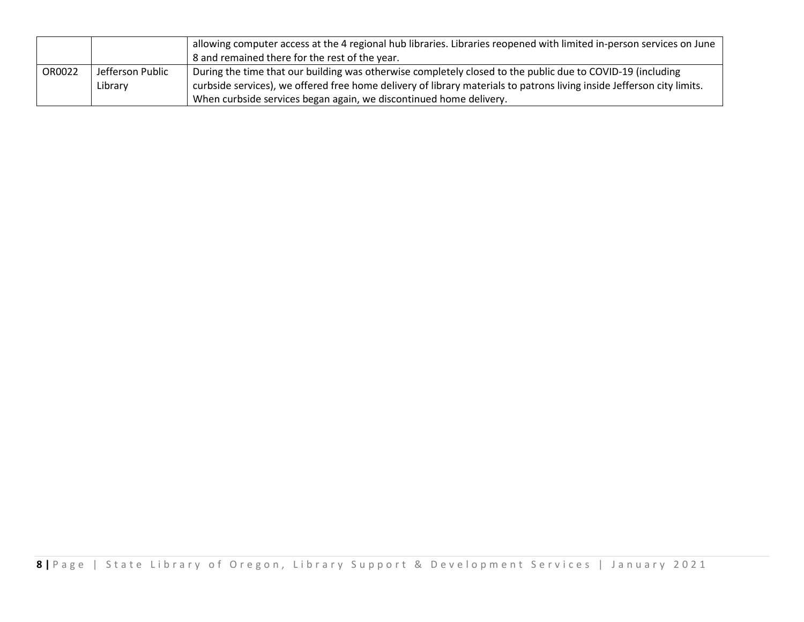|        |                  | allowing computer access at the 4 regional hub libraries. Libraries reopened with limited in-person services on June   |
|--------|------------------|------------------------------------------------------------------------------------------------------------------------|
|        |                  | 8 and remained there for the rest of the year.                                                                         |
| OR0022 | Jefferson Public | During the time that our building was otherwise completely closed to the public due to COVID-19 (including             |
|        | Library          | curbside services), we offered free home delivery of library materials to patrons living inside Jefferson city limits. |
|        |                  | When curbside services began again, we discontinued home delivery.                                                     |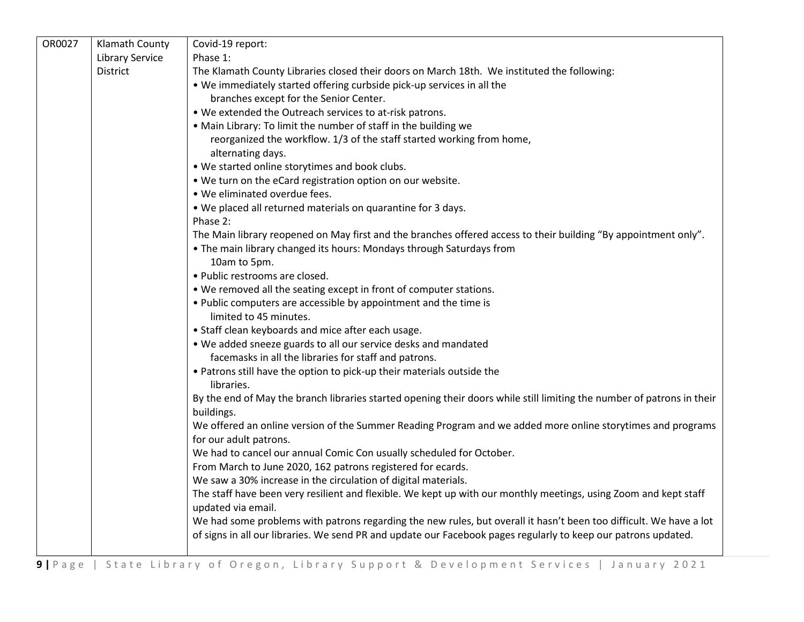| OR0027 | Klamath County         | Covid-19 report:                                                                                                                     |
|--------|------------------------|--------------------------------------------------------------------------------------------------------------------------------------|
|        | <b>Library Service</b> | Phase 1:                                                                                                                             |
|        | District               | The Klamath County Libraries closed their doors on March 18th. We instituted the following:                                          |
|        |                        | . We immediately started offering curbside pick-up services in all the                                                               |
|        |                        | branches except for the Senior Center.                                                                                               |
|        |                        | . We extended the Outreach services to at-risk patrons.                                                                              |
|        |                        | . Main Library: To limit the number of staff in the building we                                                                      |
|        |                        | reorganized the workflow. 1/3 of the staff started working from home,                                                                |
|        |                        | alternating days.                                                                                                                    |
|        |                        | . We started online storytimes and book clubs.                                                                                       |
|        |                        | . We turn on the eCard registration option on our website.                                                                           |
|        |                        | . We eliminated overdue fees.                                                                                                        |
|        |                        | . We placed all returned materials on quarantine for 3 days.                                                                         |
|        |                        | Phase 2:                                                                                                                             |
|        |                        | The Main library reopened on May first and the branches offered access to their building "By appointment only".                      |
|        |                        | • The main library changed its hours: Mondays through Saturdays from                                                                 |
|        |                        | 10am to 5pm.                                                                                                                         |
|        |                        | · Public restrooms are closed.                                                                                                       |
|        |                        | . We removed all the seating except in front of computer stations.                                                                   |
|        |                        | . Public computers are accessible by appointment and the time is                                                                     |
|        |                        | limited to 45 minutes.                                                                                                               |
|        |                        | • Staff clean keyboards and mice after each usage.                                                                                   |
|        |                        | . We added sneeze guards to all our service desks and mandated                                                                       |
|        |                        | facemasks in all the libraries for staff and patrons.                                                                                |
|        |                        | . Patrons still have the option to pick-up their materials outside the                                                               |
|        |                        | libraries.                                                                                                                           |
|        |                        | By the end of May the branch libraries started opening their doors while still limiting the number of patrons in their<br>buildings. |
|        |                        | We offered an online version of the Summer Reading Program and we added more online storytimes and programs                          |
|        |                        | for our adult patrons.                                                                                                               |
|        |                        | We had to cancel our annual Comic Con usually scheduled for October.                                                                 |
|        |                        | From March to June 2020, 162 patrons registered for ecards.                                                                          |
|        |                        | We saw a 30% increase in the circulation of digital materials.                                                                       |
|        |                        | The staff have been very resilient and flexible. We kept up with our monthly meetings, using Zoom and kept staff                     |
|        |                        | updated via email.                                                                                                                   |
|        |                        | We had some problems with patrons regarding the new rules, but overall it hasn't been too difficult. We have a lot                   |
|        |                        | of signs in all our libraries. We send PR and update our Facebook pages regularly to keep our patrons updated.                       |
|        |                        |                                                                                                                                      |
|        |                        |                                                                                                                                      |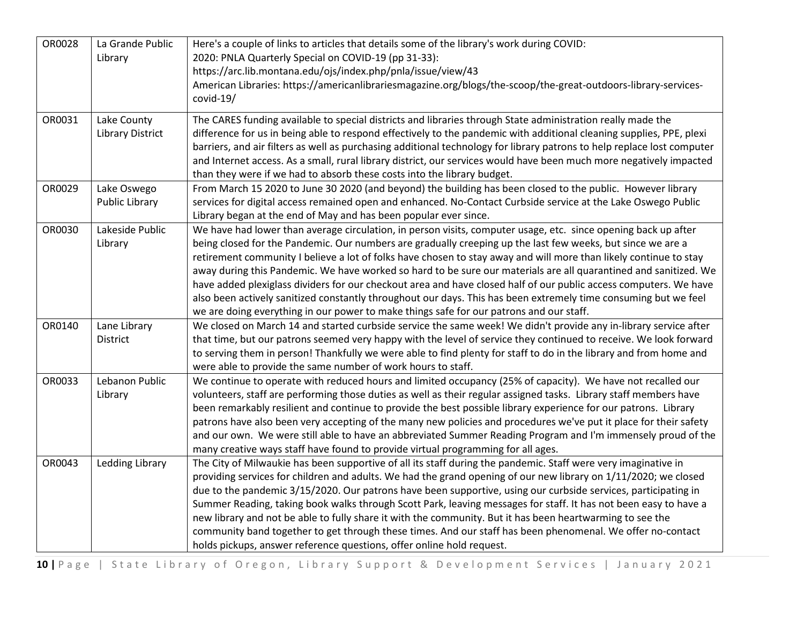| OR0028 | La Grande Public        | Here's a couple of links to articles that details some of the library's work during COVID:                              |
|--------|-------------------------|-------------------------------------------------------------------------------------------------------------------------|
|        | Library                 | 2020: PNLA Quarterly Special on COVID-19 (pp 31-33):                                                                    |
|        |                         | https://arc.lib.montana.edu/ojs/index.php/pnla/issue/view/43                                                            |
|        |                         | American Libraries: https://americanlibrariesmagazine.org/blogs/the-scoop/the-great-outdoors-library-services-          |
|        |                         | covid-19/                                                                                                               |
| OR0031 | Lake County             | The CARES funding available to special districts and libraries through State administration really made the             |
|        | <b>Library District</b> | difference for us in being able to respond effectively to the pandemic with additional cleaning supplies, PPE, plexi    |
|        |                         | barriers, and air filters as well as purchasing additional technology for library patrons to help replace lost computer |
|        |                         | and Internet access. As a small, rural library district, our services would have been much more negatively impacted     |
|        |                         | than they were if we had to absorb these costs into the library budget.                                                 |
| OR0029 | Lake Oswego             | From March 15 2020 to June 30 2020 (and beyond) the building has been closed to the public. However library             |
|        | <b>Public Library</b>   | services for digital access remained open and enhanced. No-Contact Curbside service at the Lake Oswego Public           |
|        |                         | Library began at the end of May and has been popular ever since.                                                        |
| OR0030 | Lakeside Public         | We have had lower than average circulation, in person visits, computer usage, etc. since opening back up after          |
|        | Library                 | being closed for the Pandemic. Our numbers are gradually creeping up the last few weeks, but since we are a             |
|        |                         | retirement community I believe a lot of folks have chosen to stay away and will more than likely continue to stay       |
|        |                         | away during this Pandemic. We have worked so hard to be sure our materials are all quarantined and sanitized. We        |
|        |                         | have added plexiglass dividers for our checkout area and have closed half of our public access computers. We have       |
|        |                         | also been actively sanitized constantly throughout our days. This has been extremely time consuming but we feel         |
|        |                         | we are doing everything in our power to make things safe for our patrons and our staff.                                 |
| OR0140 | Lane Library            | We closed on March 14 and started curbside service the same week! We didn't provide any in-library service after        |
|        | District                | that time, but our patrons seemed very happy with the level of service they continued to receive. We look forward       |
|        |                         | to serving them in person! Thankfully we were able to find plenty for staff to do in the library and from home and      |
|        |                         | were able to provide the same number of work hours to staff.                                                            |
| OR0033 | Lebanon Public          | We continue to operate with reduced hours and limited occupancy (25% of capacity). We have not recalled our             |
|        | Library                 | volunteers, staff are performing those duties as well as their regular assigned tasks. Library staff members have       |
|        |                         | been remarkably resilient and continue to provide the best possible library experience for our patrons. Library         |
|        |                         | patrons have also been very accepting of the many new policies and procedures we've put it place for their safety       |
|        |                         | and our own. We were still able to have an abbreviated Summer Reading Program and I'm immensely proud of the            |
|        |                         | many creative ways staff have found to provide virtual programming for all ages.                                        |
| OR0043 | Ledding Library         | The City of Milwaukie has been supportive of all its staff during the pandemic. Staff were very imaginative in          |
|        |                         | providing services for children and adults. We had the grand opening of our new library on 1/11/2020; we closed         |
|        |                         | due to the pandemic 3/15/2020. Our patrons have been supportive, using our curbside services, participating in          |
|        |                         | Summer Reading, taking book walks through Scott Park, leaving messages for staff. It has not been easy to have a        |
|        |                         | new library and not be able to fully share it with the community. But it has been heartwarming to see the               |
|        |                         | community band together to get through these times. And our staff has been phenomenal. We offer no-contact              |
|        |                         | holds pickups, answer reference questions, offer online hold request.                                                   |

**10 |** Page | State Library of Oregon, Library Support & Development Services | January 2021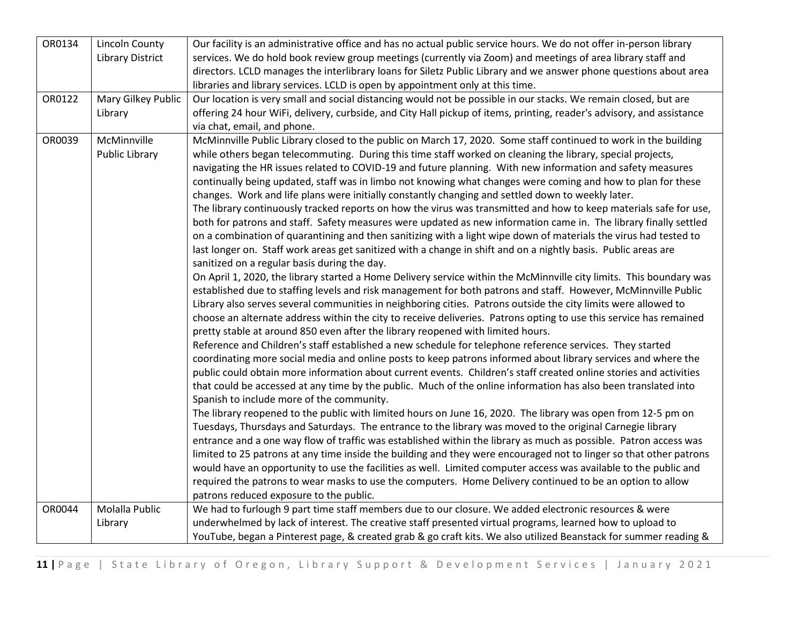| OR0134 | <b>Lincoln County</b>   | Our facility is an administrative office and has no actual public service hours. We do not offer in-person library    |
|--------|-------------------------|-----------------------------------------------------------------------------------------------------------------------|
|        | <b>Library District</b> | services. We do hold book review group meetings (currently via Zoom) and meetings of area library staff and           |
|        |                         | directors. LCLD manages the interlibrary loans for Siletz Public Library and we answer phone questions about area     |
|        |                         | libraries and library services. LCLD is open by appointment only at this time.                                        |
| OR0122 | Mary Gilkey Public      | Our location is very small and social distancing would not be possible in our stacks. We remain closed, but are       |
|        | Library                 | offering 24 hour WiFi, delivery, curbside, and City Hall pickup of items, printing, reader's advisory, and assistance |
|        |                         | via chat, email, and phone.                                                                                           |
| OR0039 | McMinnville             | McMinnville Public Library closed to the public on March 17, 2020. Some staff continued to work in the building       |
|        | Public Library          | while others began telecommuting. During this time staff worked on cleaning the library, special projects,            |
|        |                         | navigating the HR issues related to COVID-19 and future planning. With new information and safety measures            |
|        |                         | continually being updated, staff was in limbo not knowing what changes were coming and how to plan for these          |
|        |                         | changes. Work and life plans were initially constantly changing and settled down to weekly later.                     |
|        |                         | The library continuously tracked reports on how the virus was transmitted and how to keep materials safe for use,     |
|        |                         | both for patrons and staff. Safety measures were updated as new information came in. The library finally settled      |
|        |                         | on a combination of quarantining and then sanitizing with a light wipe down of materials the virus had tested to      |
|        |                         | last longer on. Staff work areas get sanitized with a change in shift and on a nightly basis. Public areas are        |
|        |                         | sanitized on a regular basis during the day.                                                                          |
|        |                         | On April 1, 2020, the library started a Home Delivery service within the McMinnville city limits. This boundary was   |
|        |                         | established due to staffing levels and risk management for both patrons and staff. However, McMinnville Public        |
|        |                         | Library also serves several communities in neighboring cities. Patrons outside the city limits were allowed to        |
|        |                         | choose an alternate address within the city to receive deliveries. Patrons opting to use this service has remained    |
|        |                         | pretty stable at around 850 even after the library reopened with limited hours.                                       |
|        |                         | Reference and Children's staff established a new schedule for telephone reference services. They started              |
|        |                         | coordinating more social media and online posts to keep patrons informed about library services and where the         |
|        |                         | public could obtain more information about current events. Children's staff created online stories and activities     |
|        |                         | that could be accessed at any time by the public. Much of the online information has also been translated into        |
|        |                         | Spanish to include more of the community.                                                                             |
|        |                         | The library reopened to the public with limited hours on June 16, 2020. The library was open from 12-5 pm on          |
|        |                         | Tuesdays, Thursdays and Saturdays. The entrance to the library was moved to the original Carnegie library             |
|        |                         | entrance and a one way flow of traffic was established within the library as much as possible. Patron access was      |
|        |                         | limited to 25 patrons at any time inside the building and they were encouraged not to linger so that other patrons    |
|        |                         | would have an opportunity to use the facilities as well. Limited computer access was available to the public and      |
|        |                         | required the patrons to wear masks to use the computers. Home Delivery continued to be an option to allow             |
|        |                         | patrons reduced exposure to the public.                                                                               |
| OR0044 | Molalla Public          | We had to furlough 9 part time staff members due to our closure. We added electronic resources & were                 |
|        | Library                 | underwhelmed by lack of interest. The creative staff presented virtual programs, learned how to upload to             |
|        |                         | YouTube, began a Pinterest page, & created grab & go craft kits. We also utilized Beanstack for summer reading &      |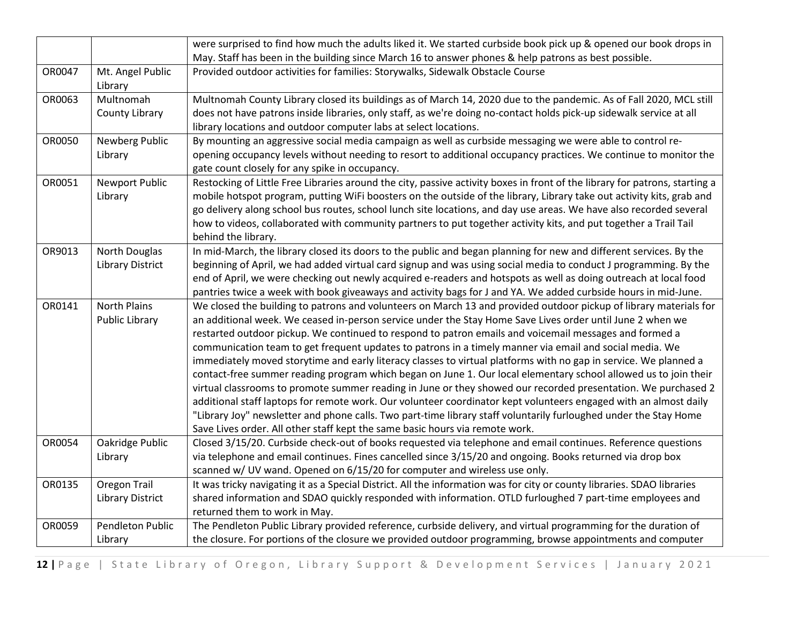|        |                         | were surprised to find how much the adults liked it. We started curbside book pick up & opened our book drops in            |
|--------|-------------------------|-----------------------------------------------------------------------------------------------------------------------------|
|        |                         | May. Staff has been in the building since March 16 to answer phones & help patrons as best possible.                        |
| OR0047 | Mt. Angel Public        | Provided outdoor activities for families: Storywalks, Sidewalk Obstacle Course                                              |
|        | Library                 |                                                                                                                             |
| OR0063 | Multnomah               | Multnomah County Library closed its buildings as of March 14, 2020 due to the pandemic. As of Fall 2020, MCL still          |
|        | County Library          | does not have patrons inside libraries, only staff, as we're doing no-contact holds pick-up sidewalk service at all         |
|        |                         | library locations and outdoor computer labs at select locations.                                                            |
| OR0050 | Newberg Public          | By mounting an aggressive social media campaign as well as curbside messaging we were able to control re-                   |
|        | Library                 | opening occupancy levels without needing to resort to additional occupancy practices. We continue to monitor the            |
|        |                         | gate count closely for any spike in occupancy.                                                                              |
| OR0051 | <b>Newport Public</b>   | Restocking of Little Free Libraries around the city, passive activity boxes in front of the library for patrons, starting a |
|        | Library                 | mobile hotspot program, putting WiFi boosters on the outside of the library, Library take out activity kits, grab and       |
|        |                         | go delivery along school bus routes, school lunch site locations, and day use areas. We have also recorded several          |
|        |                         | how to videos, collaborated with community partners to put together activity kits, and put together a Trail Tail            |
|        |                         | behind the library.                                                                                                         |
| OR9013 | <b>North Douglas</b>    | In mid-March, the library closed its doors to the public and began planning for new and different services. By the          |
|        | <b>Library District</b> | beginning of April, we had added virtual card signup and was using social media to conduct J programming. By the            |
|        |                         | end of April, we were checking out newly acquired e-readers and hotspots as well as doing outreach at local food            |
|        |                         | pantries twice a week with book giveaways and activity bags for J and YA. We added curbside hours in mid-June.              |
| OR0141 | <b>North Plains</b>     | We closed the building to patrons and volunteers on March 13 and provided outdoor pickup of library materials for           |
|        | Public Library          | an additional week. We ceased in-person service under the Stay Home Save Lives order until June 2 when we                   |
|        |                         | restarted outdoor pickup. We continued to respond to patron emails and voicemail messages and formed a                      |
|        |                         | communication team to get frequent updates to patrons in a timely manner via email and social media. We                     |
|        |                         | immediately moved storytime and early literacy classes to virtual platforms with no gap in service. We planned a            |
|        |                         | contact-free summer reading program which began on June 1. Our local elementary school allowed us to join their             |
|        |                         | virtual classrooms to promote summer reading in June or they showed our recorded presentation. We purchased 2               |
|        |                         | additional staff laptops for remote work. Our volunteer coordinator kept volunteers engaged with an almost daily            |
|        |                         | "Library Joy" newsletter and phone calls. Two part-time library staff voluntarily furloughed under the Stay Home            |
|        |                         | Save Lives order. All other staff kept the same basic hours via remote work.                                                |
| OR0054 | Oakridge Public         | Closed 3/15/20. Curbside check-out of books requested via telephone and email continues. Reference questions                |
|        | Library                 | via telephone and email continues. Fines cancelled since 3/15/20 and ongoing. Books returned via drop box                   |
|        |                         | scanned w/ UV wand. Opened on 6/15/20 for computer and wireless use only.                                                   |
| OR0135 | Oregon Trail            | It was tricky navigating it as a Special District. All the information was for city or county libraries. SDAO libraries     |
|        | <b>Library District</b> | shared information and SDAO quickly responded with information. OTLD furloughed 7 part-time employees and                   |
|        |                         | returned them to work in May.                                                                                               |
| OR0059 | Pendleton Public        | The Pendleton Public Library provided reference, curbside delivery, and virtual programming for the duration of             |
|        | Library                 | the closure. For portions of the closure we provided outdoor programming, browse appointments and computer                  |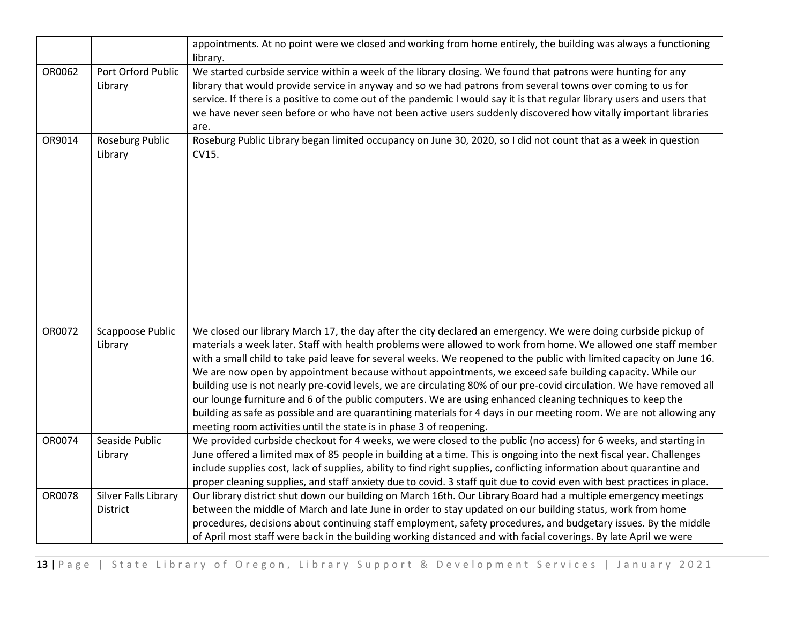|        |                                  | appointments. At no point were we closed and working from home entirely, the building was always a functioning<br>library.                                                                                                                                                                                                                                                                                                                                                                                                                                                                                                                                                                                                                                                                                                                                                                               |
|--------|----------------------------------|----------------------------------------------------------------------------------------------------------------------------------------------------------------------------------------------------------------------------------------------------------------------------------------------------------------------------------------------------------------------------------------------------------------------------------------------------------------------------------------------------------------------------------------------------------------------------------------------------------------------------------------------------------------------------------------------------------------------------------------------------------------------------------------------------------------------------------------------------------------------------------------------------------|
| OR0062 | Port Orford Public<br>Library    | We started curbside service within a week of the library closing. We found that patrons were hunting for any<br>library that would provide service in anyway and so we had patrons from several towns over coming to us for<br>service. If there is a positive to come out of the pandemic I would say it is that regular library users and users that<br>we have never seen before or who have not been active users suddenly discovered how vitally important libraries<br>are.                                                                                                                                                                                                                                                                                                                                                                                                                        |
| OR9014 | Roseburg Public<br>Library       | Roseburg Public Library began limited occupancy on June 30, 2020, so I did not count that as a week in question<br>CV15.                                                                                                                                                                                                                                                                                                                                                                                                                                                                                                                                                                                                                                                                                                                                                                                 |
| OR0072 | Scappoose Public<br>Library      | We closed our library March 17, the day after the city declared an emergency. We were doing curbside pickup of<br>materials a week later. Staff with health problems were allowed to work from home. We allowed one staff member<br>with a small child to take paid leave for several weeks. We reopened to the public with limited capacity on June 16.<br>We are now open by appointment because without appointments, we exceed safe building capacity. While our<br>building use is not nearly pre-covid levels, we are circulating 80% of our pre-covid circulation. We have removed all<br>our lounge furniture and 6 of the public computers. We are using enhanced cleaning techniques to keep the<br>building as safe as possible and are quarantining materials for 4 days in our meeting room. We are not allowing any<br>meeting room activities until the state is in phase 3 of reopening. |
| OR0074 | Seaside Public<br>Library        | We provided curbside checkout for 4 weeks, we were closed to the public (no access) for 6 weeks, and starting in<br>June offered a limited max of 85 people in building at a time. This is ongoing into the next fiscal year. Challenges<br>include supplies cost, lack of supplies, ability to find right supplies, conflicting information about quarantine and<br>proper cleaning supplies, and staff anxiety due to covid. 3 staff quit due to covid even with best practices in place.                                                                                                                                                                                                                                                                                                                                                                                                              |
| OR0078 | Silver Falls Library<br>District | Our library district shut down our building on March 16th. Our Library Board had a multiple emergency meetings<br>between the middle of March and late June in order to stay updated on our building status, work from home<br>procedures, decisions about continuing staff employment, safety procedures, and budgetary issues. By the middle<br>of April most staff were back in the building working distanced and with facial coverings. By late April we were                                                                                                                                                                                                                                                                                                                                                                                                                                       |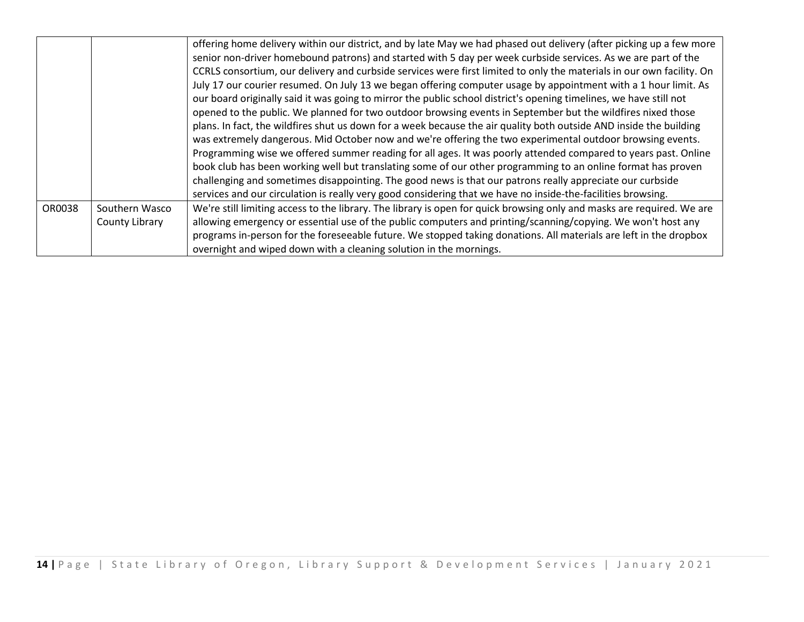|        |                | offering home delivery within our district, and by late May we had phased out delivery (after picking up a few more    |
|--------|----------------|------------------------------------------------------------------------------------------------------------------------|
|        |                | senior non-driver homebound patrons) and started with 5 day per week curbside services. As we are part of the          |
|        |                | CCRLS consortium, our delivery and curbside services were first limited to only the materials in our own facility. On  |
|        |                | July 17 our courier resumed. On July 13 we began offering computer usage by appointment with a 1 hour limit. As        |
|        |                | our board originally said it was going to mirror the public school district's opening timelines, we have still not     |
|        |                | opened to the public. We planned for two outdoor browsing events in September but the wildfires nixed those            |
|        |                | plans. In fact, the wildfires shut us down for a week because the air quality both outside AND inside the building     |
|        |                | was extremely dangerous. Mid October now and we're offering the two experimental outdoor browsing events.              |
|        |                | Programming wise we offered summer reading for all ages. It was poorly attended compared to years past. Online         |
|        |                | book club has been working well but translating some of our other programming to an online format has proven           |
|        |                | challenging and sometimes disappointing. The good news is that our patrons really appreciate our curbside              |
|        |                | services and our circulation is really very good considering that we have no inside-the-facilities browsing.           |
| OR0038 | Southern Wasco | We're still limiting access to the library. The library is open for quick browsing only and masks are required. We are |
|        | County Library | allowing emergency or essential use of the public computers and printing/scanning/copying. We won't host any           |
|        |                | programs in-person for the foreseeable future. We stopped taking donations. All materials are left in the dropbox      |
|        |                | overnight and wiped down with a cleaning solution in the mornings.                                                     |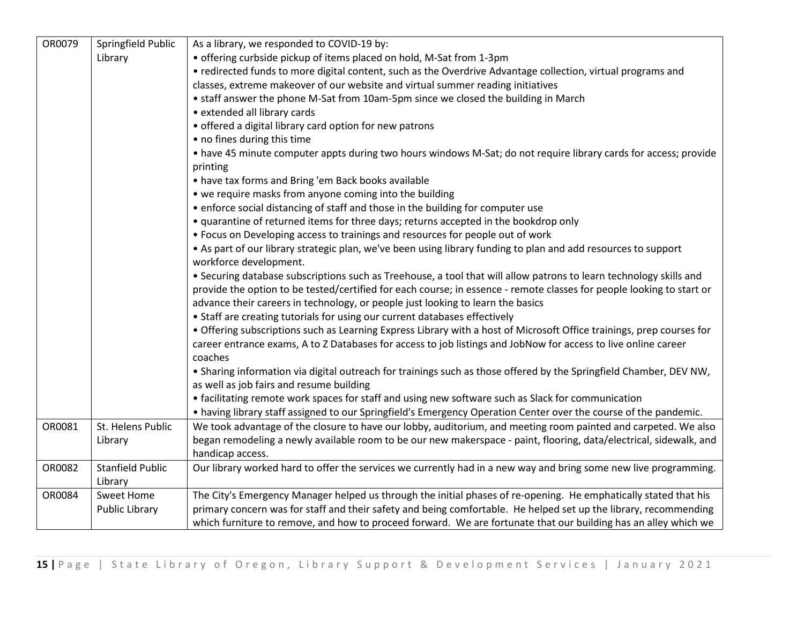| OR0079 | Springfield Public      | As a library, we responded to COVID-19 by:                                                                            |
|--------|-------------------------|-----------------------------------------------------------------------------------------------------------------------|
|        | Library                 | • offering curbside pickup of items placed on hold, M-Sat from 1-3pm                                                  |
|        |                         | • redirected funds to more digital content, such as the Overdrive Advantage collection, virtual programs and          |
|        |                         | classes, extreme makeover of our website and virtual summer reading initiatives                                       |
|        |                         | • staff answer the phone M-Sat from 10am-5pm since we closed the building in March                                    |
|        |                         | • extended all library cards                                                                                          |
|        |                         | • offered a digital library card option for new patrons                                                               |
|        |                         | • no fines during this time                                                                                           |
|        |                         | • have 45 minute computer appts during two hours windows M-Sat; do not require library cards for access; provide      |
|        |                         | printing                                                                                                              |
|        |                         | • have tax forms and Bring 'em Back books available                                                                   |
|        |                         | • we require masks from anyone coming into the building                                                               |
|        |                         | • enforce social distancing of staff and those in the building for computer use                                       |
|        |                         | • quarantine of returned items for three days; returns accepted in the bookdrop only                                  |
|        |                         | • Focus on Developing access to trainings and resources for people out of work                                        |
|        |                         | • As part of our library strategic plan, we've been using library funding to plan and add resources to support        |
|        |                         | workforce development.                                                                                                |
|        |                         | • Securing database subscriptions such as Treehouse, a tool that will allow patrons to learn technology skills and    |
|        |                         | provide the option to be tested/certified for each course; in essence - remote classes for people looking to start or |
|        |                         | advance their careers in technology, or people just looking to learn the basics                                       |
|        |                         | • Staff are creating tutorials for using our current databases effectively                                            |
|        |                         | • Offering subscriptions such as Learning Express Library with a host of Microsoft Office trainings, prep courses for |
|        |                         | career entrance exams, A to Z Databases for access to job listings and JobNow for access to live online career        |
|        |                         | coaches                                                                                                               |
|        |                         | . Sharing information via digital outreach for trainings such as those offered by the Springfield Chamber, DEV NW,    |
|        |                         | as well as job fairs and resume building                                                                              |
|        |                         | • facilitating remote work spaces for staff and using new software such as Slack for communication                    |
|        |                         | • having library staff assigned to our Springfield's Emergency Operation Center over the course of the pandemic.      |
| OR0081 | St. Helens Public       | We took advantage of the closure to have our lobby, auditorium, and meeting room painted and carpeted. We also        |
|        | Library                 | began remodeling a newly available room to be our new makerspace - paint, flooring, data/electrical, sidewalk, and    |
|        |                         | handicap access.                                                                                                      |
| OR0082 | <b>Stanfield Public</b> | Our library worked hard to offer the services we currently had in a new way and bring some new live programming.      |
|        | Library                 |                                                                                                                       |
| OR0084 | <b>Sweet Home</b>       | The City's Emergency Manager helped us through the initial phases of re-opening. He emphatically stated that his      |
|        | Public Library          | primary concern was for staff and their safety and being comfortable. He helped set up the library, recommending      |
|        |                         | which furniture to remove, and how to proceed forward. We are fortunate that our building has an alley which we       |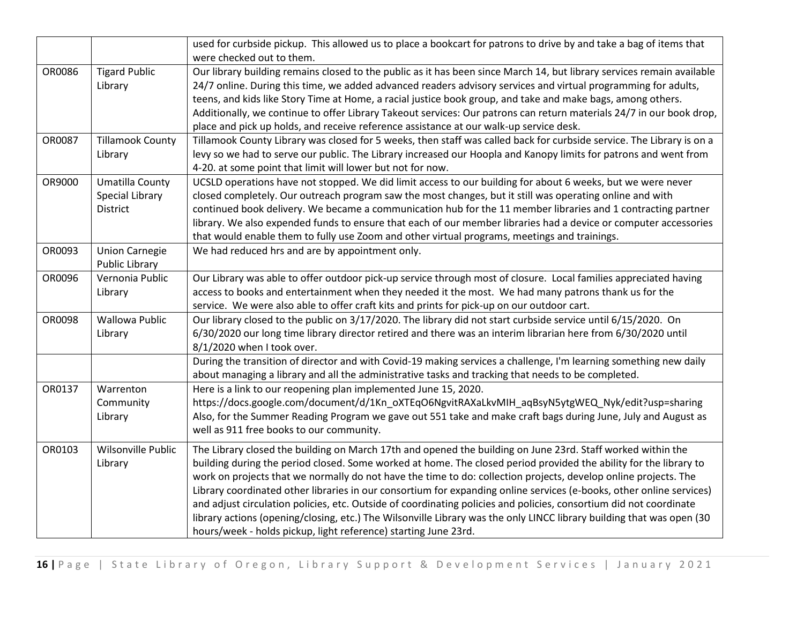|        |                         | used for curbside pickup. This allowed us to place a bookcart for patrons to drive by and take a bag of items that     |
|--------|-------------------------|------------------------------------------------------------------------------------------------------------------------|
|        |                         | were checked out to them.                                                                                              |
| OR0086 | <b>Tigard Public</b>    | Our library building remains closed to the public as it has been since March 14, but library services remain available |
|        | Library                 | 24/7 online. During this time, we added advanced readers advisory services and virtual programming for adults,         |
|        |                         | teens, and kids like Story Time at Home, a racial justice book group, and take and make bags, among others.            |
|        |                         | Additionally, we continue to offer Library Takeout services: Our patrons can return materials 24/7 in our book drop,   |
|        |                         | place and pick up holds, and receive reference assistance at our walk-up service desk.                                 |
| OR0087 | <b>Tillamook County</b> | Tillamook County Library was closed for 5 weeks, then staff was called back for curbside service. The Library is on a  |
|        | Library                 | levy so we had to serve our public. The Library increased our Hoopla and Kanopy limits for patrons and went from       |
|        |                         | 4-20. at some point that limit will lower but not for now.                                                             |
| OR9000 | Umatilla County         | UCSLD operations have not stopped. We did limit access to our building for about 6 weeks, but we were never            |
|        | <b>Special Library</b>  | closed completely. Our outreach program saw the most changes, but it still was operating online and with               |
|        | <b>District</b>         | continued book delivery. We became a communication hub for the 11 member libraries and 1 contracting partner           |
|        |                         | library. We also expended funds to ensure that each of our member libraries had a device or computer accessories       |
|        |                         | that would enable them to fully use Zoom and other virtual programs, meetings and trainings.                           |
| OR0093 | <b>Union Carnegie</b>   | We had reduced hrs and are by appointment only.                                                                        |
|        | Public Library          |                                                                                                                        |
| OR0096 | Vernonia Public         | Our Library was able to offer outdoor pick-up service through most of closure. Local families appreciated having       |
|        | Library                 | access to books and entertainment when they needed it the most. We had many patrons thank us for the                   |
|        |                         | service. We were also able to offer craft kits and prints for pick-up on our outdoor cart.                             |
| OR0098 | <b>Wallowa Public</b>   | Our library closed to the public on 3/17/2020. The library did not start curbside service until 6/15/2020. On          |
|        | Library                 | 6/30/2020 our long time library director retired and there was an interim librarian here from 6/30/2020 until          |
|        |                         | 8/1/2020 when I took over.                                                                                             |
|        |                         | During the transition of director and with Covid-19 making services a challenge, I'm learning something new daily      |
|        |                         | about managing a library and all the administrative tasks and tracking that needs to be completed.                     |
| OR0137 | Warrenton               | Here is a link to our reopening plan implemented June 15, 2020.                                                        |
|        | Community               | https://docs.google.com/document/d/1Kn_oXTEqO6NgvitRAXaLkvMIH_aqBsyN5ytgWEQ_Nyk/edit?usp=sharing                       |
|        | Library                 | Also, for the Summer Reading Program we gave out 551 take and make craft bags during June, July and August as          |
|        |                         | well as 911 free books to our community.                                                                               |
| OR0103 | Wilsonville Public      | The Library closed the building on March 17th and opened the building on June 23rd. Staff worked within the            |
|        | Library                 | building during the period closed. Some worked at home. The closed period provided the ability for the library to      |
|        |                         | work on projects that we normally do not have the time to do: collection projects, develop online projects. The        |
|        |                         | Library coordinated other libraries in our consortium for expanding online services (e-books, other online services)   |
|        |                         | and adjust circulation policies, etc. Outside of coordinating policies and policies, consortium did not coordinate     |
|        |                         | library actions (opening/closing, etc.) The Wilsonville Library was the only LINCC library building that was open (30  |
|        |                         | hours/week - holds pickup, light reference) starting June 23rd.                                                        |